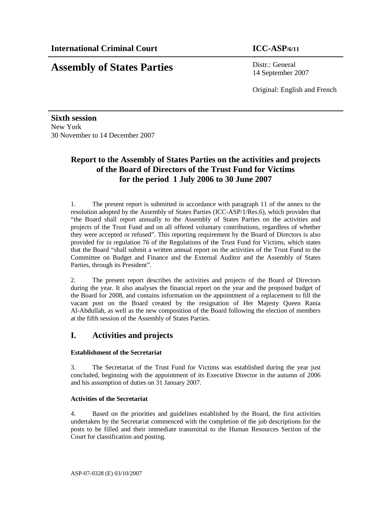# **Assembly of States Parties** Distr.: General

14 September 2007

Original: English and French

**Sixth session**  New York 30 November to 14 December 2007

## **Report to the Assembly of States Parties on the activities and projects of the Board of Directors of the Trust Fund for Victims for the period 1 July 2006 to 30 June 2007**

1. The present report is submitted in accordance with paragraph 11 of the annex to the resolution adopted by the Assembly of States Parties (ICC-ASP/1/Res.6), which provides that "the Board shall report annually to the Assembly of States Parties on the activities and projects of the Trust Fund and on all offered voluntary contributions, regardless of whether they were accepted or refused". This reporting requirement by the Board of Directors is also provided for in regulation 76 of the Regulations of the Trust Fund for Victims, which states that the Board "shall submit a written annual report on the activities of the Trust Fund to the Committee on Budget and Finance and the External Auditor and the Assembly of States Parties, through its President".

2. The present report describes the activities and projects of the Board of Directors during the year. It also analyses the financial report on the year and the proposed budget of the Board for 2008, and contains information on the appointment of a replacement to fill the vacant post on the Board created by the resignation of Her Majesty Queen Rania Al-Abdullah, as well as the new composition of the Board following the election of members at the fifth session of the Assembly of States Parties.

## **I. Activities and projects**

## **Establishment of the Secretariat**

3. The Secretariat of the Trust Fund for Victims was established during the year just concluded, beginning with the appointment of its Executive Director in the autumn of 2006 and his assumption of duties on 31 January 2007.

## **Activities of the Secretariat**

4. Based on the priorities and guidelines established by the Board, the first activities undertaken by the Secretariat commenced with the completion of the job descriptions for the posts to be filled and their immediate transmittal to the Human Resources Section of the Court for classification and posting.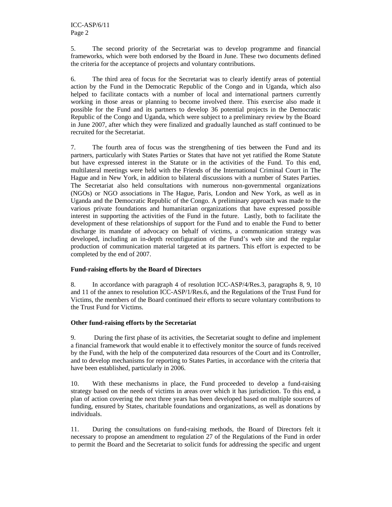5. The second priority of the Secretariat was to develop programme and financial frameworks, which were both endorsed by the Board in June. These two documents defined the criteria for the acceptance of projects and voluntary contributions.

6. The third area of focus for the Secretariat was to clearly identify areas of potential action by the Fund in the Democratic Republic of the Congo and in Uganda, which also helped to facilitate contacts with a number of local and international partners currently working in those areas or planning to become involved there. This exercise also made it possible for the Fund and its partners to develop 36 potential projects in the Democratic Republic of the Congo and Uganda, which were subject to a preliminary review by the Board in June 2007, after which they were finalized and gradually launched as staff continued to be recruited for the Secretariat.

7. The fourth area of focus was the strengthening of ties between the Fund and its partners, particularly with States Parties or States that have not yet ratified the Rome Statute but have expressed interest in the Statute or in the activities of the Fund. To this end, multilateral meetings were held with the Friends of the International Criminal Court in The Hague and in New York, in addition to bilateral discussions with a number of States Parties. The Secretariat also held consultations with numerous non-governmental organizations (NGOs) or NGO associations in The Hague, Paris, London and New York, as well as in Uganda and the Democratic Republic of the Congo. A preliminary approach was made to the various private foundations and humanitarian organizations that have expressed possible interest in supporting the activities of the Fund in the future. Lastly, both to facilitate the development of these relationships of support for the Fund and to enable the Fund to better discharge its mandate of advocacy on behalf of victims, a communication strategy was developed, including an in-depth reconfiguration of the Fund's web site and the regular production of communication material targeted at its partners. This effort is expected to be completed by the end of 2007.

#### **Fund-raising efforts by the Board of Directors**

8. In accordance with paragraph 4 of resolution ICC-ASP/4/Res.3, paragraphs 8, 9, 10 and 11 of the annex to resolution ICC-ASP/1/Res.6, and the Regulations of the Trust Fund for Victims, the members of the Board continued their efforts to secure voluntary contributions to the Trust Fund for Victims.

#### **Other fund-raising efforts by the Secretariat**

9. During the first phase of its activities, the Secretariat sought to define and implement a financial framework that would enable it to effectively monitor the source of funds received by the Fund, with the help of the computerized data resources of the Court and its Controller, and to develop mechanisms for reporting to States Parties, in accordance with the criteria that have been established, particularly in 2006.

10. With these mechanisms in place, the Fund proceeded to develop a fund-raising strategy based on the needs of victims in areas over which it has jurisdiction. To this end, a plan of action covering the next three years has been developed based on multiple sources of funding, ensured by States, charitable foundations and organizations, as well as donations by individuals.

11. During the consultations on fund-raising methods, the Board of Directors felt it necessary to propose an amendment to regulation 27 of the Regulations of the Fund in order to permit the Board and the Secretariat to solicit funds for addressing the specific and urgent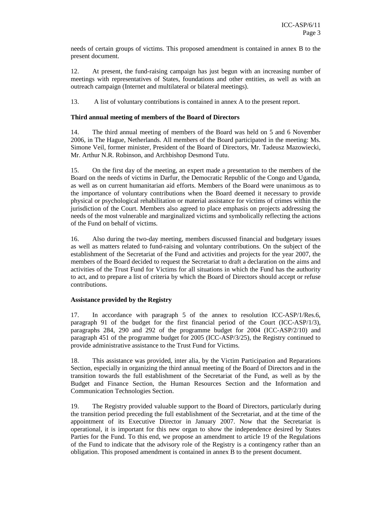needs of certain groups of victims. This proposed amendment is contained in annex B to the present document.

12. At present, the fund-raising campaign has just begun with an increasing number of meetings with representatives of States, foundations and other entities, as well as with an outreach campaign (Internet and multilateral or bilateral meetings).

13. A list of voluntary contributions is contained in annex A to the present report.

#### **Third annual meeting of members of the Board of Directors**

14. The third annual meeting of members of the Board was held on 5 and 6 November 2006, in The Hague, Netherlands. All members of the Board participated in the meeting: Ms. Simone Veil, former minister, President of the Board of Directors, Mr. Tadeusz Mazowiecki, Mr. Arthur N.R. Robinson, and Archbishop Desmond Tutu.

15. On the first day of the meeting, an expert made a presentation to the members of the Board on the needs of victims in Darfur, the Democratic Republic of the Congo and Uganda, as well as on current humanitarian aid efforts. Members of the Board were unanimous as to the importance of voluntary contributions when the Board deemed it necessary to provide physical or psychological rehabilitation or material assistance for victims of crimes within the jurisdiction of the Court. Members also agreed to place emphasis on projects addressing the needs of the most vulnerable and marginalized victims and symbolically reflecting the actions of the Fund on behalf of victims.

16. Also during the two-day meeting, members discussed financial and budgetary issues as well as matters related to fund-raising and voluntary contributions. On the subject of the establishment of the Secretariat of the Fund and activities and projects for the year 2007, the members of the Board decided to request the Secretariat to draft a declaration on the aims and activities of the Trust Fund for Victims for all situations in which the Fund has the authority to act, and to prepare a list of criteria by which the Board of Directors should accept or refuse contributions.

#### **Assistance provided by the Registry**

17. In accordance with paragraph 5 of the annex to resolution ICC-ASP/1/Res.6, paragraph 91 of the budget for the first financial period of the Court (ICC-ASP/1/3), paragraphs 284, 290 and 292 of the programme budget for 2004 (ICC-ASP/2/10) and paragraph 451 of the programme budget for 2005 (ICC-ASP/3/25), the Registry continued to provide administrative assistance to the Trust Fund for Victims.

18. This assistance was provided, inter alia, by the Victim Participation and Reparations Section, especially in organizing the third annual meeting of the Board of Directors and in the transition towards the full establishment of the Secretariat of the Fund, as well as by the Budget and Finance Section, the Human Resources Section and the Information and Communication Technologies Section.

19. The Registry provided valuable support to the Board of Directors, particularly during the transition period preceding the full establishment of the Secretariat, and at the time of the appointment of its Executive Director in January 2007. Now that the Secretariat is operational, it is important for this new organ to show the independence desired by States Parties for the Fund. To this end, we propose an amendment to article 19 of the Regulations of the Fund to indicate that the advisory role of the Registry is a contingency rather than an obligation. This proposed amendment is contained in annex B to the present document.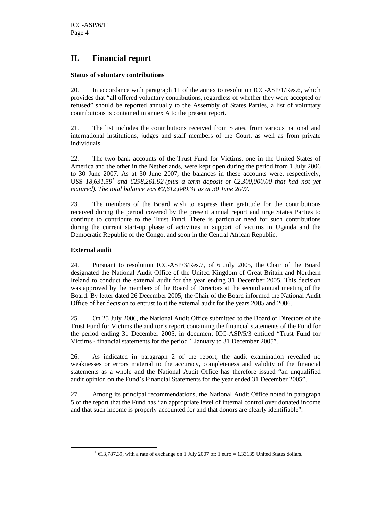## **II. Financial report**

#### **Status of voluntary contributions**

20. In accordance with paragraph 11 of the annex to resolution ICC-ASP/1/Res.6, which provides that "all offered voluntary contributions, regardless of whether they were accepted or refused" should be reported annually to the Assembly of States Parties, a list of voluntary contributions is contained in annex A to the present report.

21. The list includes the contributions received from States, from various national and international institutions, judges and staff members of the Court, as well as from private individuals.

22. The two bank accounts of the Trust Fund for Victims, one in the United States of America and the other in the Netherlands, were kept open during the period from 1 July 2006 to 30 June 2007. As at 30 June 2007, the balances in these accounts were, respectively, US\$ 18,631.59<sup>*1*</sup> and €298,261.92 (plus a term deposit of €2,300,000.00 that had not yet *matured). The total balance was €2,612,049.31 as at 30 June 2007.* 

23. The members of the Board wish to express their gratitude for the contributions received during the period covered by the present annual report and urge States Parties to continue to contribute to the Trust Fund. There is particular need for such contributions during the current start-up phase of activities in support of victims in Uganda and the Democratic Republic of the Congo, and soon in the Central African Republic.

## **External audit**

-

24. Pursuant to resolution ICC-ASP/3/Res.7, of 6 July 2005, the Chair of the Board designated the National Audit Office of the United Kingdom of Great Britain and Northern Ireland to conduct the external audit for the year ending 31 December 2005. This decision was approved by the members of the Board of Directors at the second annual meeting of the Board. By letter dated 26 December 2005, the Chair of the Board informed the National Audit Office of her decision to entrust to it the external audit for the years 2005 and 2006.

25. On 25 July 2006, the National Audit Office submitted to the Board of Directors of the Trust Fund for Victims the auditor's report containing the financial statements of the Fund for the period ending 31 December 2005, in document ICC-ASP/5/3 entitled "Trust Fund for Victims - financial statements for the period 1 January to 31 December 2005".

26. As indicated in paragraph 2 of the report, the audit examination revealed no weaknesses or errors material to the accuracy, completeness and validity of the financial statements as a whole and the National Audit Office has therefore issued "an unqualified audit opinion on the Fund's Financial Statements for the year ended 31 December 2005".

27. Among its principal recommendations, the National Audit Office noted in paragraph 5 of the report that the Fund has "an appropriate level of internal control over donated income and that such income is properly accounted for and that donors are clearly identifiable".

<sup>&</sup>lt;sup>1</sup> €13,787.39, with a rate of exchange on 1 July 2007 of: 1 euro = 1.33135 United States dollars.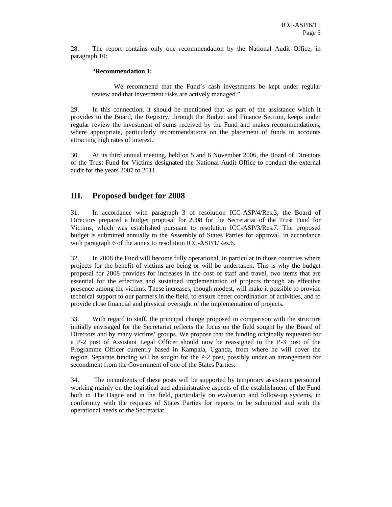28. The report contains only one recommendation by the National Audit Office, in paragraph 10:

#### "**Recommendation 1:**

 We recommend that the Fund's cash investments be kept under regular review and that investment risks are actively managed."

29. In this connection, it should be mentioned that as part of the assistance which it provides to the Board, the Registry, through the Budget and Finance Section, keeps under regular review the investment of sums received by the Fund and makes recommendations, where appropriate, particularly recommendations on the placement of funds in accounts attracting high rates of interest.

30. At its third annual meeting, held on 5 and 6 November 2006, the Board of Directors of the Trust Fund for Victims designated the National Audit Office to conduct the external audit for the years 2007 to 2011.

## **III. Proposed budget for 2008**

31. In accordance with paragraph 3 of resolution ICC-ASP/4/Res.3, the Board of Directors prepared a budget proposal for 2008 for the Secretariat of the Trust Fund for Victims, which was established pursuant to resolution ICC-ASP/3/Res.7. The proposed budget is submitted annually to the Assembly of States Parties for approval, in accordance with paragraph 6 of the annex to resolution ICC-ASP/1/Res.6.

32. In 2008 the Fund will become fully operational, in particular in those countries where projects for the benefit of victims are being or will be undertaken. This is why the budget proposal for 2008 provides for increases in the cost of staff and travel, two items that are essential for the effective and sustained implementation of projects through an effective presence among the victims. These increases, though modest, will make it possible to provide technical support to our partners in the field, to ensure better coordination of activities, and to provide close financial and physical oversight of the implementation of projects.

33. With regard to staff, the principal change proposed in comparison with the structure initially envisaged for the Secretariat reflects the focus on the field sought by the Board of Directors and by many victims' groups. We propose that the funding originally requested for a P-2 post of Assistant Legal Officer should now be reassigned to the P-3 post of the Programme Officer currently based in Kampala, Uganda, from where he will cover the region. Separate funding will be sought for the P-2 post, possibly under an arrangement for secondment from the Government of one of the States Parties.

34. The incumbents of these posts will be supported by temporary assistance personnel working mainly on the logistical and administrative aspects of the establishment of the Fund both in The Hague and in the field, particularly on evaluation and follow-up systems, in conformity with the requests of States Parties for reports to be submitted and with the operational needs of the Secretariat.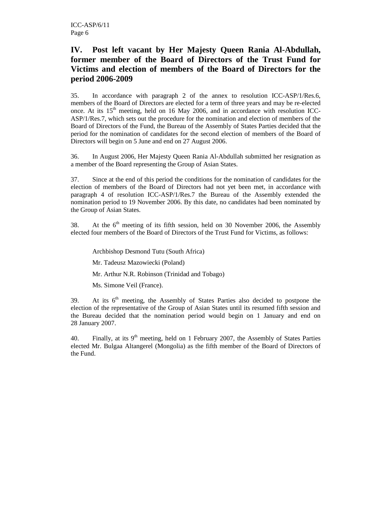## **IV. Post left vacant by Her Majesty Queen Rania Al-Abdullah, former member of the Board of Directors of the Trust Fund for Victims and election of members of the Board of Directors for the period 2006-2009**

35. In accordance with paragraph 2 of the annex to resolution ICC-ASP/1/Res.6, members of the Board of Directors are elected for a term of three years and may be re-elected once. At its  $15<sup>th</sup>$  meeting, held on 16 May 2006, and in accordance with resolution ICC-ASP/1/Res.7, which sets out the procedure for the nomination and election of members of the Board of Directors of the Fund, the Bureau of the Assembly of States Parties decided that the period for the nomination of candidates for the second election of members of the Board of Directors will begin on 5 June and end on 27 August 2006.

36. In August 2006, Her Majesty Queen Rania Al-Abdullah submitted her resignation as a member of the Board representing the Group of Asian States.

37. Since at the end of this period the conditions for the nomination of candidates for the election of members of the Board of Directors had not yet been met, in accordance with paragraph 4 of resolution ICC-ASP/1/Res.7 the Bureau of the Assembly extended the nomination period to 19 November 2006. By this date, no candidates had been nominated by the Group of Asian States.

38. At the  $6<sup>th</sup>$  meeting of its fifth session, held on 30 November 2006, the Assembly elected four members of the Board of Directors of the Trust Fund for Victims, as follows:

Archbishop Desmond Tutu (South Africa)

Mr. Tadeusz Mazowiecki (Poland)

Mr. Arthur N.R. Robinson (Trinidad and Tobago)

Ms. Simone Veil (France).

39. At its  $6<sup>th</sup>$  meeting, the Assembly of States Parties also decided to postpone the election of the representative of the Group of Asian States until its resumed fifth session and the Bureau decided that the nomination period would begin on 1 January and end on 28 January 2007.

40. Finally, at its  $9<sup>th</sup>$  meeting, held on 1 February 2007, the Assembly of States Parties elected Mr. Bulgaa Altangerel (Mongolia) as the fifth member of the Board of Directors of the Fund.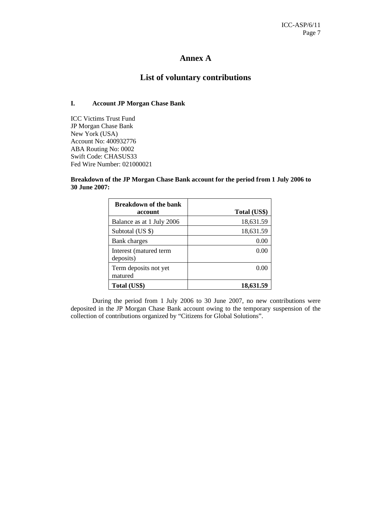## **Annex A**

## **List of voluntary contributions**

#### **I. Account JP Morgan Chase Bank**

ICC Victims Trust Fund JP Morgan Chase Bank New York (USA) Account No: 400932776 ABA Routing No: 0002 Swift Code: CHASUS33 Fed Wire Number: 021000021

**Breakdown of the JP Morgan Chase Bank account for the period from 1 July 2006 to 30 June 2007:** 

| <b>Breakdown of the bank</b><br>account | Total (US\$) |
|-----------------------------------------|--------------|
| Balance as at 1 July 2006               | 18,631.59    |
| Subtotal (US \$)                        | 18,631.59    |
| <b>Bank charges</b>                     | 0.00         |
| Interest (matured term<br>deposits)     | 0.00         |
| Term deposits not yet<br>matured        | 0.00         |
| Total (US\$)                            | 18,631.59    |

During the period from 1 July 2006 to 30 June 2007, no new contributions were deposited in the JP Morgan Chase Bank account owing to the temporary suspension of the collection of contributions organized by "Citizens for Global Solutions".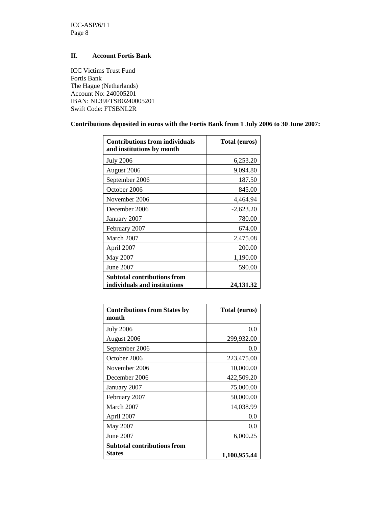## **II. Account Fortis Bank**

ICC Victims Trust Fund Fortis Bank The Hague (Netherlands) Account No: 240005201 IBAN: NL39FTSB0240005201 Swift Code: FTSBNL2R

## **Contributions deposited in euros with the Fortis Bank from 1 July 2006 to 30 June 2007:**

| <b>Contributions from individuals</b><br>and institutions by month | Total (euros) |
|--------------------------------------------------------------------|---------------|
| <b>July 2006</b>                                                   | 6,253.20      |
| August 2006                                                        | 9,094.80      |
| September 2006                                                     | 187.50        |
| October 2006                                                       | 845.00        |
| November 2006                                                      | 4,464.94      |
| December 2006                                                      | $-2,623.20$   |
| January 2007                                                       | 780.00        |
| February 2007                                                      | 674.00        |
| March 2007                                                         | 2,475.08      |
| April 2007                                                         | 200.00        |
| May 2007                                                           | 1,190.00      |
| June 2007                                                          | 590.00        |
| <b>Subtotal contributions from</b><br>individuals and institutions | 24,131.32     |

| <b>Contributions from States by</b><br>month | Total (euros) |  |
|----------------------------------------------|---------------|--|
| <b>July 2006</b>                             | 0.0           |  |
| August 2006                                  | 299,932.00    |  |
| September 2006                               | 0.0           |  |
| October 2006                                 | 223,475.00    |  |
| November 2006                                | 10,000.00     |  |
| December 2006                                | 422,509.20    |  |
| January 2007                                 | 75,000.00     |  |
| February 2007                                | 50,000.00     |  |
| March 2007                                   | 14,038.99     |  |
| April 2007                                   | 0.0           |  |
| May 2007                                     | 0.0           |  |
| June 2007<br>6,000.25                        |               |  |
| <b>Subtotal contributions from</b>           |               |  |
| <b>States</b>                                | 1,100,955.44  |  |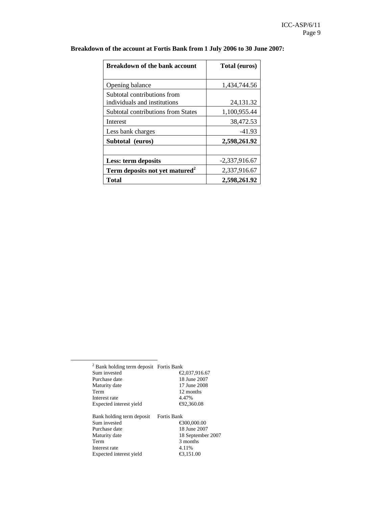| <b>Breakdown of the bank account</b>                        | Total (euros)   |  |
|-------------------------------------------------------------|-----------------|--|
|                                                             |                 |  |
| Opening balance                                             | 1,434,744.56    |  |
| Subtotal contributions from<br>individuals and institutions | 24,131.32       |  |
| Subtotal contributions from States                          | 1,100,955.44    |  |
| Interest                                                    | 38,472.53       |  |
| Less bank charges                                           | -41.93          |  |
| Subtotal (euros)                                            | 2,598,261.92    |  |
|                                                             |                 |  |
| Less: term deposits                                         | $-2,337,916.67$ |  |
| Term deposits not yet matured <sup>2</sup>                  | 2,337,916.67    |  |
| <b>Total</b>                                                | 2,598,261.92    |  |

## **Breakdown of the account at Fortis Bank from 1 July 2006 to 30 June 2007:**

| <sup>2</sup> Bank holding term deposit Fortis Bank |
|----------------------------------------------------|
| €2,037,916.67                                      |
| 18 June 2007                                       |
| 17 June 2008                                       |
| 12 months                                          |
| 4.47%                                              |
| €92,360.08                                         |
|                                                    |
| Fortis Bank                                        |
| €300,000.00                                        |
| 18 June 2007                                       |
| 18 September 2007                                  |
| 3 months                                           |
| 4.11%                                              |
| €3.151.00                                          |
|                                                    |

Expected interest yield

-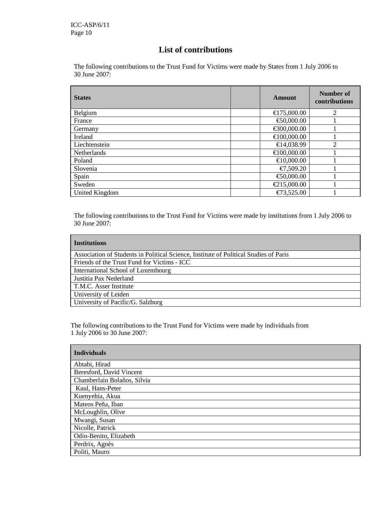# **List of contributions**

The following contributions to the Trust Fund for Victims were made by States from 1 July 2006 to 30 June 2007:

| <b>States</b>  | <b>Amount</b> | Number of<br>contributions |
|----------------|---------------|----------------------------|
| Belgium        | €175,000.00   | $\overline{2}$             |
| France         | €50,000.00    |                            |
| Germany        | €300,000.00   |                            |
| Ireland        | €100,000.00   |                            |
| Liechtenstein  | €14,038.99    | 2                          |
| Netherlands    | €100,000.00   |                            |
| Poland         | €10,000.00    |                            |
| Slovenia       | €7,509.20     |                            |
| Spain          | €50,000.00    |                            |
| Sweden         | €215,000.00   |                            |
| United Kingdom | €73,525.00    |                            |

The following contributions to the Trust Fund for Victims were made by institutions from 1 July 2006 to 30 June 2007:

| <b>Institutions</b>                                                                   |
|---------------------------------------------------------------------------------------|
| Association of Students in Political Science, Institute of Political Studies of Paris |
| Friends of the Trust Fund for Victims - ICC                                           |
| International School of Luxembourg                                                    |
| Justitia Pax Nederland                                                                |
| T.M.C. Asser Institute                                                                |
| University of Leiden                                                                  |
| University of Pacific/G. Salzburg                                                     |

The following contributions to the Trust Fund for Victims were made by individuals from 1 July 2006 to 30 June 2007:

| <b>Individuals</b>          |
|-----------------------------|
| Abtabi, Hirad               |
| Beresford, David Vincent    |
| Chamberlain Bolaños, Silvia |
| Kaul, Hans-Peter            |
| Kuenyehia, Akua             |
| Mateos Peña, Iban           |
| McLoughlin, Olive           |
| Mwangi, Susan               |
| Nicolle, Patrick            |
| Odio-Benito, Elizabeth      |
| Perdrix, Agnès              |
| Politi, Mauro               |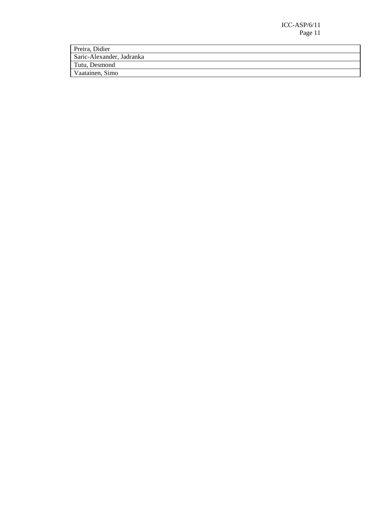| Preira, Didier            |
|---------------------------|
| Saric-Alexander, Jadranka |
| Tutu, Desmond             |
| Vaatainen, Simo           |